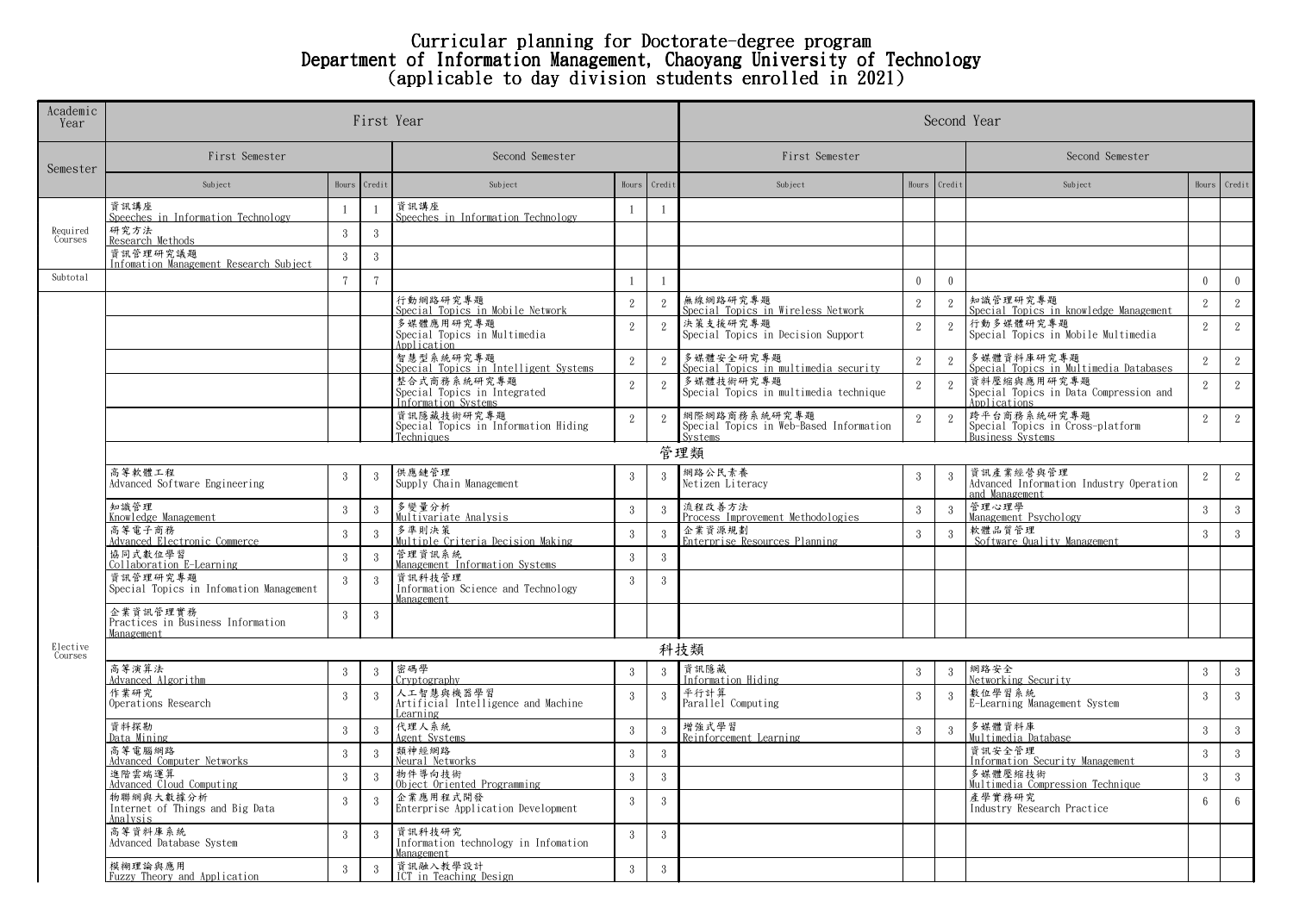## Curricular planning for Doctorate-degree program Department of Information Management, Chaoyang University of Technology (applicable to day division students enrolled in 2021)

| Academic<br>Year    |                                                             | First Year      | Second Year    |                                                                    |                  |                |                                                                    |                  |               |                                                                        |                 |                 |  |
|---------------------|-------------------------------------------------------------|-----------------|----------------|--------------------------------------------------------------------|------------------|----------------|--------------------------------------------------------------------|------------------|---------------|------------------------------------------------------------------------|-----------------|-----------------|--|
| Semester            | First Semester                                              | Second Semester |                |                                                                    | First Semester   |                |                                                                    | Second Semester  |               |                                                                        |                 |                 |  |
|                     | Subject                                                     | Hours           | Credi          | Subject                                                            | Hours            | Credi          | Subject                                                            | Hours            | Credit        | Subject                                                                | Hours           | Credit          |  |
| Required<br>Courses | 資訊講座<br>Speeches in Information Technology                  | $\overline{1}$  | $\overline{1}$ | 資訊講座<br>Speeches in Information Technology                         | -1               | $\overline{1}$ |                                                                    |                  |               |                                                                        |                 |                 |  |
|                     | 研究方法<br>Research Methods                                    | $\mathbf{3}$    | -3             |                                                                    |                  |                |                                                                    |                  |               |                                                                        |                 |                 |  |
|                     | 資訊管理研究議題<br>Infomation Management Research Subject          | 3               | 3              |                                                                    |                  |                |                                                                    |                  |               |                                                                        |                 |                 |  |
| Subtotal            |                                                             | $\overline{7}$  | $\overline{7}$ |                                                                    | $\overline{1}$   | $\overline{1}$ |                                                                    | $\theta$         | $\mathbf{0}$  |                                                                        | $\mathbf{0}$    | $\overline{0}$  |  |
|                     |                                                             |                 |                | 行動網路研究專題<br>Special Topics in Mobile Network                       | $\overline{2}$   | $\overline{2}$ | 無線網路研究專題<br>Special Topics in Wireless Network                     | $\overline{2}$   | $\mathbf{2}$  | 知識管理研究專題<br>Special Topics in knowledge Management                     | 2               | 2               |  |
|                     |                                                             |                 |                | 多媒體應用研究專題<br>Special Topics in Multimedia<br>Application           | $\overline{2}$   | 2              | 決策支援研究專題<br>Special Topics in Decision Support                     | $\overline{2}$   | 2             | 行動多媒體研究專題<br>Special Topics in Mobile Multimedia                       | 2               | $2^{\circ}$     |  |
|                     |                                                             |                 |                | 智慧型系統研究專題<br>Special Topics in Intelligent Systems                 | $\overline{2}$   | $\mathbf{2}$   | 多媒體安全研究專題<br>Special Topics in multimedia security                 | $\overline{2}$   | $\mathbf{2}$  | 多媒體資料庫研究專題<br>Special Topics in Multimedia Databases                   | $\mathbf{2}$    | $\overline{2}$  |  |
|                     |                                                             |                 |                | 整合式商務系統研究專題<br>Special Topics in Integrated<br>Information Systems | $\overline{2}$   | $\overline{2}$ | 多媒體技術研究專題<br>Special Topics in multimedia technique                | 2                | 2             | 資料壓縮與應用研究專題<br>Special Topics in Data Compression and<br>Applications  | $\mathbf{2}$    | $2^{\circ}$     |  |
|                     |                                                             |                 |                | 資訊隱藏技術研究專題<br>Special Topics in Information Hiding<br>Techniques   | 2                | 2              | 網際網路商務系統研究專題<br>Special Topics in Web-Based Information<br>Systems | 2                | 2             | 跨平台商務系統研究專題<br>Special Topics in Cross-platform<br>Business Systems    | 2               | 2               |  |
|                     |                                                             |                 |                |                                                                    |                  |                | 管理類                                                                |                  |               |                                                                        |                 |                 |  |
|                     | 高等軟體工程<br>Advanced Software Engineering                     | 3               | -3             | 供應鏈管理<br>Supply Chain Management                                   | -3               | -3             | 網路公民素養<br>Netizen Literacy                                         | 3                | $\mathcal{R}$ | 資訊產業經營與管理<br>Advanced Information Industry Operation<br>and Management | $\overline{2}$  | 2               |  |
|                     | 知識管理<br>Knowledge Management                                | $\sqrt{3}$      | -3             | 多變量分析<br>Multivariate Analysis                                     | $3\phantom{.0}$  | 3              | 流程改善方法<br>Process Improvement Methodologies                        | $\mathbf{3}$     | 3             | 管理心理學<br><u>Management Psychology</u>                                  | 3               | $\mathbf{3}$    |  |
|                     | 高等電子商務<br>Advanced Electronic Commerce                      | $3\,$           | -3             | 多準則決策<br>Multiple Criteria Decision Making                         | $\boldsymbol{3}$ | 3              | 企業資源規劃<br>Enterprise Resources Planning                            | 3                | $\mathbf{3}$  | 軟體品質管理<br>Software Quality Management                                  | $\overline{3}$  | 3 <sup>1</sup>  |  |
|                     | 協同式數位學習<br>Collaboration E-Learning                         | $\sqrt{3}$      | $\overline{3}$ | 管理資訊系統<br>Management Information Systems                           | $3\phantom{.0}$  | $\mathbf{3}$   |                                                                    |                  |               |                                                                        |                 |                 |  |
|                     | 資訊管理研究專題<br>Special Topics in Infomation Management         | $\mathbf{3}$    | -3             | 資訊科技管理<br>Information Science and Technology<br>Management         | $\mathcal{E}$    | $\mathcal{R}$  |                                                                    |                  |               |                                                                        |                 |                 |  |
|                     | 企業資訊管理實務<br>Practices in Business Information<br>Management | $\mathcal{S}$   | -3             |                                                                    |                  |                |                                                                    |                  |               |                                                                        |                 |                 |  |
| Elective<br>Courses | 科技類                                                         |                 |                |                                                                    |                  |                |                                                                    |                  |               |                                                                        |                 |                 |  |
|                     | 高等演算法<br>Advanced Algorithm                                 | $\sqrt{3}$      | $\overline{3}$ | 密碼學<br>Cryptography                                                | $\mathbf{3}$     | 3              | 資訊隱藏<br>Information Hiding                                         | $\boldsymbol{3}$ | $\mathcal{R}$ | 網路安全<br>Networking Security                                            | $\mathbf{3}$    | $\mathbf{3}$    |  |
|                     | 作業研究<br>Operations Research                                 | $\mathbf{3}$    | -3             | 人工智慧與機器學習<br>Artificial Intelligence and Machine<br>Learning       | $\mathcal{E}$    | $\mathcal{S}$  | 平行計算<br>Parallel Computing                                         | 3                | 3             | 數位學習系統<br>E-Learning Management System                                 | $\overline{3}$  | $\mathcal{S}$   |  |
|                     | 資料探勘<br>Data Mining                                         | $\sqrt{3}$      | -3             | 代理人系統<br>Agent Systems                                             | $3\phantom{.0}$  | 3              | 增強式學習<br>Reinforcement Learning                                    | 3                | 3             | 多媒體資料庫<br>Multimedia Database                                          | $\overline{3}$  | $\mathcal{S}$   |  |
|                     | 高等電腦網路<br>Advanced Computer Networks                        | $3\,$           | -3             | 類神經網路<br>Neural Networks                                           | $\overline{3}$   | 3              |                                                                    |                  |               | 資訊安全管理<br>Information Security Management                              | 3               | $\mathbf{3}$    |  |
|                     | 進階雲端運算<br>Advanced Cloud Computing                          | $3\,$           | -3             | 物件導向技術<br>Object Oriented Programming                              | $3\phantom{.0}$  | 3              |                                                                    |                  |               | 多媒體壓縮技術<br>Multimedia Compression Technique                            | $\mathbf{3}$    | $3 -$           |  |
|                     | 物聯網與大數據分析<br>Internet of Things and Big Data<br>Analysis    | $\mathbf{3}$    | -3             | 企業應用程式開發<br>Enterprise Application Development                     | $\overline{3}$   | $\mathcal{R}$  |                                                                    |                  |               | 產學實務研究<br>Industry Research Practice                                   | $6\overline{6}$ | $6\overline{6}$ |  |
|                     | 高等資料庫系統<br>Advanced Database System                         | 3               | -3             | 資訊科技研究<br>Information technology in Infomation<br>Management       | 3                | -3             |                                                                    |                  |               |                                                                        |                 |                 |  |
|                     | 模糊理論與應用<br>Fuzzy Theory and Application                     | 3               | 3              | 資訊融入教學設計<br>ICT in Teaching Design                                 | $\overline{3}$   | 3              |                                                                    |                  |               |                                                                        |                 |                 |  |